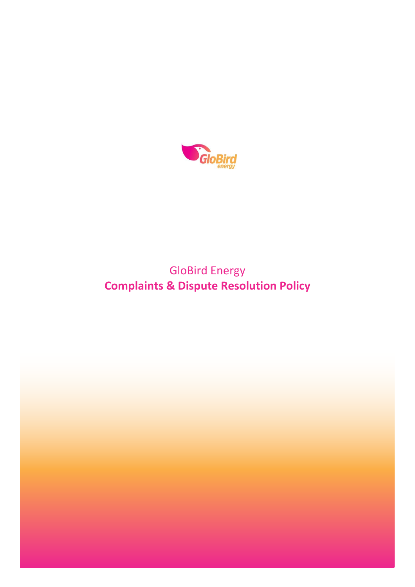

# GloBird Energy **Complaints & Dispute Resolution Policy**

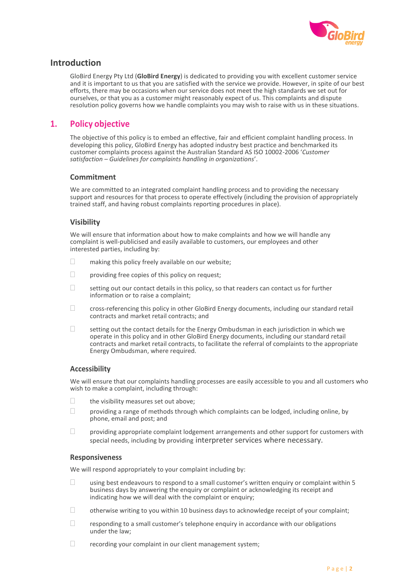

# **Introduction**

GloBird Energy Pty Ltd (**GloBird Energy**) is dedicated to providing you with excellent customer service and it is important to us that you are satisfied with the service we provide. However, in spite of our best efforts, there may be occasions when our service does not meet the high standards we set out for ourselves, or that you as a customer might reasonably expect of us. This complaints and dispute resolution policy governs how we handle complaints you may wish to raise with us in these situations.

# **1. Policy objective**

The objective of this policy is to embed an effective, fair and efficient complaint handling process. In developing this policy, GloBird Energy has adopted industry best practice and benchmarked its customer complaints process against the Australian Standard AS ISO 10002-2006 '*Customer satisfaction – Guidelines for complaints handling in organizations*'.

### **Commitment**

We are committed to an integrated complaint handling process and to providing the necessary support and resources for that process to operate effectively (including the provision of appropriately trained staff, and having robust complaints reporting procedures in place).

### **Visibility**

We will ensure that information about how to make complaints and how we will handle any complaint is well-publicised and easily available to customers, our employees and other interested parties, including by:

- $\Box$  making this policy freely available on our website;
- $\Box$  providing free copies of this policy on request;
- $\Box$  setting out our contact details in this policy, so that readers can contact us for further information or to raise a complaint;
- cross-referencing this policy in other GloBird Energy documents, including our standard retail contracts and market retail contracts; and
- setting out the contact details for the Energy Ombudsman in each jurisdiction in which we operate in this policy and in other GloBird Energy documents, including our standard retail contracts and market retail contracts, to facilitate the referral of complaints to the appropriate Energy Ombudsman, where required.

### **Accessibility**

We will ensure that our complaints handling processes are easily accessible to you and all customers who wish to make a complaint, including through:

- $\Box$  the visibility measures set out above:
- $\Box$  providing a range of methods through which complaints can be lodged, including online, by phone, email and post; and
- $\Box$  providing appropriate complaint lodgement arrangements and other support for customers with special needs, including by providing interpreter services where necessary.

### **Responsiveness**

We will respond appropriately to your complaint including by:

- $\Box$  using best endeavours to respond to a small customer's written enquiry or complaint within 5 business days by answering the enquiry or complaint or acknowledging its receipt and indicating how we will deal with the complaint or enquiry;
- $\Box$  otherwise writing to you within 10 business days to acknowledge receipt of your complaint;
- $\Box$  responding to a small customer's telephone enquiry in accordance with our obligations under the law;
- $\Box$  recording your complaint in our client management system;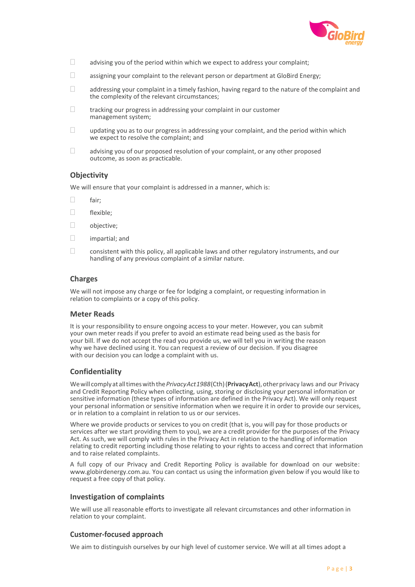

- $\Box$  advising you of the period within which we expect to address your complaint;
- $\Box$  assigning your complaint to the relevant person or department at GloBird Energy;
- $\Box$  addressing your complaint in a timely fashion, having regard to the nature of the complaint and the complexity of the relevant circumstances;
- $\Box$  tracking our progress in addressing your complaint in our customer management system;
- $\Box$  updating you as to our progress in addressing your complaint, and the period within which we expect to resolve the complaint; and
- $\Box$  advising you of our proposed resolution of your complaint, or any other proposed outcome, as soon as practicable.

# **Objectivity**

We will ensure that your complaint is addressed in a manner, which is:

- $\Box$  fair:
- □ flexible;
- □ objective;
- $\Box$  impartial; and
- $\Box$  consistent with this policy, all applicable laws and other regulatory instruments, and our handling of any previous complaint of a similar nature.

### **Charges**

We will not impose any charge or fee for lodging a complaint, or requesting information in relation to complaints or a copy of this policy.

### **Meter Reads**

It is your responsibility to ensure ongoing access to your meter. However, you can submit your own meter reads if you prefer to avoid an estimate read being used as the basis for your bill. If we do not accept the read you provide us, we will tell you in writing the reason why we have declined using it. You can request a review of our decision. If you disagree with our decision you can lodge a complaint with us.

### **Confidentiality**

Wewillcomplyatalltimeswiththe*PrivacyAct1988*(Cth)(**PrivacyAct**),otherprivacy laws and our Privacy and Credit Reporting Policy when collecting, using, storing or disclosing your personal information or sensitive information (these types of information are defined in the Privacy Act). We will only request your personal information or sensitive information when we require it in order to provide our services, or in relation to a complaint in relation to us or our services.

Where we provide products or services to you on credit (that is, you will pay for those products or services after we start providing them to you), we are a credit provider for the purposes of the Privacy Act. As such, we will comply with rules in the Privacy Act in relation to the handling of information relating to credit reporting including those relating to your rights to access and correct that information and to raise related complaints.

A full copy of our Privacy and Credit Reporting Policy is available for download on our websit[e:](http://www.globirdenergy.com.au/)  [www.globirdenergy.com.au. Y](http://www.globirdenergy.com.au/)ou can contact us using the information given below if you would like to request a free copy of that policy.

### **Investigation of complaints**

We will use all reasonable efforts to investigate all relevant circumstances and other information in relation to your complaint.

### **Customer-focused approach**

We aim to distinguish ourselves by our high level of customer service. We will at all times adopt a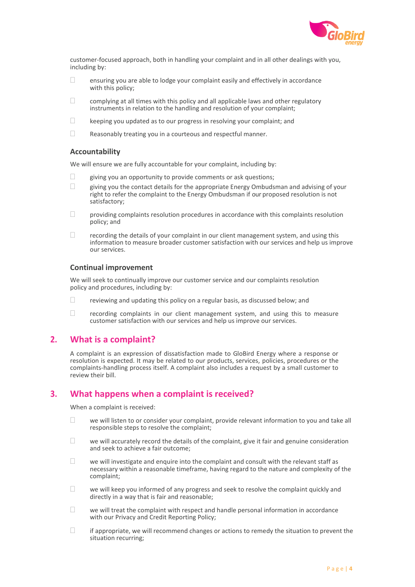

customer-focused approach, both in handling your complaint and in all other dealings with you, including by:

- $\Box$ ensuring you are able to lodge your complaint easily and effectively in accordance with this policy;
- $\Box$ complying at all times with this policy and all applicable laws and other regulatory instruments in relation to the handling and resolution of your complaint;
- $\Box$ keeping you updated as to our progress in resolving your complaint; and
- $\Box$ Reasonably treating you in a courteous and respectful manner.

### **Accountability**

We will ensure we are fully accountable for your complaint, including by:

- $\Box$  giving you an opportunity to provide comments or ask questions;
- $\Box$  giving you the contact details for the appropriate Energy Ombudsman and advising of your right to refer the complaint to the Energy Ombudsman if our proposed resolution is not satisfactory;
- $\Box$  providing complaints resolution procedures in accordance with this complaints resolution policy; and
- $\Box$  recording the details of your complaint in our client management system, and using this information to measure broader customer satisfaction with our services and help us improve our services.

### **Continual improvement**

We will seek to continually improve our customer service and our complaints resolution policy and procedures, including by:

- $\Box$  reviewing and updating this policy on a regular basis, as discussed below; and
- $\Box$  recording complaints in our client management system, and using this to measure customer satisfaction with our services and help us improve our services.

# **2. What is a complaint?**

A complaint is an expression of dissatisfaction made to GloBird Energy where a response or resolution is expected. It may be related to our products, services, policies, procedures or the complaints-handling process itself. A complaint also includes a request by a small customer to review their bill.

## **3. What happens when a complaint is received?**

When a complaint is received:

- $\Box$  we will listen to or consider your complaint, provide relevant information to you and take all responsible steps to resolve the complaint;
- $\Box$  we will accurately record the details of the complaint, give it fair and genuine consideration and seek to achieve a fair outcome;
- $\Box$  we will investigate and enquire into the complaint and consult with the relevant staff as necessary within a reasonable timeframe, having regard to the nature and complexity of the complaint;
- $\Box$  we will keep you informed of any progress and seek to resolve the complaint quickly and directly in a way that is fair and reasonable;
- $\Box$  we will treat the complaint with respect and handle personal information in accordance with our Privacy and Credit Reporting Policy;
- $\Box$  if appropriate, we will recommend changes or actions to remedy the situation to prevent the situation recurring;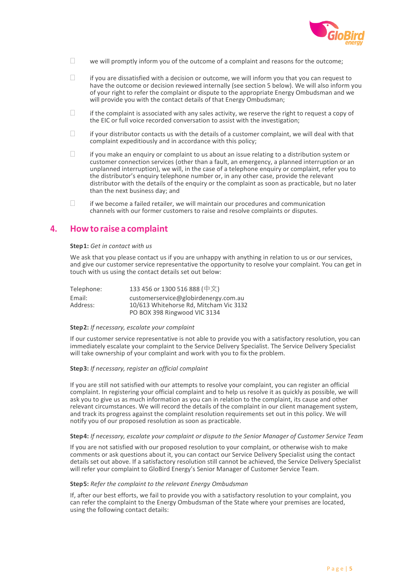

- $\Box$  we will promptly inform you of the outcome of a complaint and reasons for the outcome;
- $\Box$  if you are dissatisfied with a decision or outcome, we will inform you that you can request to have the outcome or decision reviewed internally (see section 5 below). We will also inform you of your right to refer the complaint or dispute to the appropriate Energy Ombudsman and we will provide you with the contact details of that Energy Ombudsman;
- $\Box$  if the complaint is associated with any sales activity, we reserve the right to request a copy of the EIC or full voice recorded conversation to assist with the investigation;
- $\Box$  if your distributor contacts us with the details of a customer complaint, we will deal with that complaint expeditiously and in accordance with this policy;
- $\Box$  if you make an enquiry or complaint to us about an issue relating to a distribution system or customer connection services (other than a fault, an emergency, a planned interruption or an unplanned interruption), we will, in the case of a telephone enquiry or complaint, refer you to the distributor's enquiry telephone number or, in any other case, provide the relevant distributor with the details of the enquiry or the complaint as soon as practicable, but no later than the next business day; and
- $\Box$  if we become a failed retailer, we will maintain our procedures and communication channels with our former customers to raise and resolve complaints or disputes.

# **4. Howto raise a complaint**

#### **Step1:** *Get in contact with us*

We ask that you please contact us if you are unhappy with anything in relation to us or our services, and give our customer service representative the opportunity to resolve your complaint. You can get in touch with us using the contact details set out below:

| Telephone:         | 133 456 or 1300 516 888 (中文)                                                   |
|--------------------|--------------------------------------------------------------------------------|
| Email:<br>Address: | customerservice@globirdenergy.com.au<br>10/613 Whitehorse Rd, Mitcham Vic 3132 |
|                    | PO BOX 398 Ringwood VIC 3134                                                   |

### **Step 2:** *If necessary, escalate your complaint*

If our customer service representative is not able to provide you with a satisfactory resolution, you can immediately escalate your complaint to the Service Delivery Specialist. The Service Delivery Specialist will take ownership of your complaint and work with you to fix the problem.

#### **Step 3:** *If necessary, register an official complaint*

If you are still not satisfied with our attempts to resolve your complaint, you can register an official complaint. In registering your official complaint and to help us resolve it as quickly as possible, we will ask you to give us as much information as you can in relation to the complaint, its cause and other relevant circumstances. We will record the details of the complaint in our client management system, and track its progress against the complaint resolution requirements set out in this policy. We will notify you of our proposed resolution as soon as practicable.

#### **Step 4:** *If necessary, escalate your complaint or dispute to the Senior Manager of Customer Service Team*

If you are not satisfied with our proposed resolution to your complaint, or otherwise wish to make comments or ask questions about it, you can contact our Service Delivery Specialist using the contact details set out above. If a satisfactory resolution still cannot be achieved, the Service Delivery Specialist will refer your complaint to GloBird Energy's Senior Manager of Customer Service Team.

### **Step 5:** *Refer the complaint to the relevant Energy Ombudsman*

If, after our best efforts, we fail to provide you with a satisfactory resolution to your complaint, you can refer the complaint to the Energy Ombudsman of the State where your premises are located, using the following contact details: